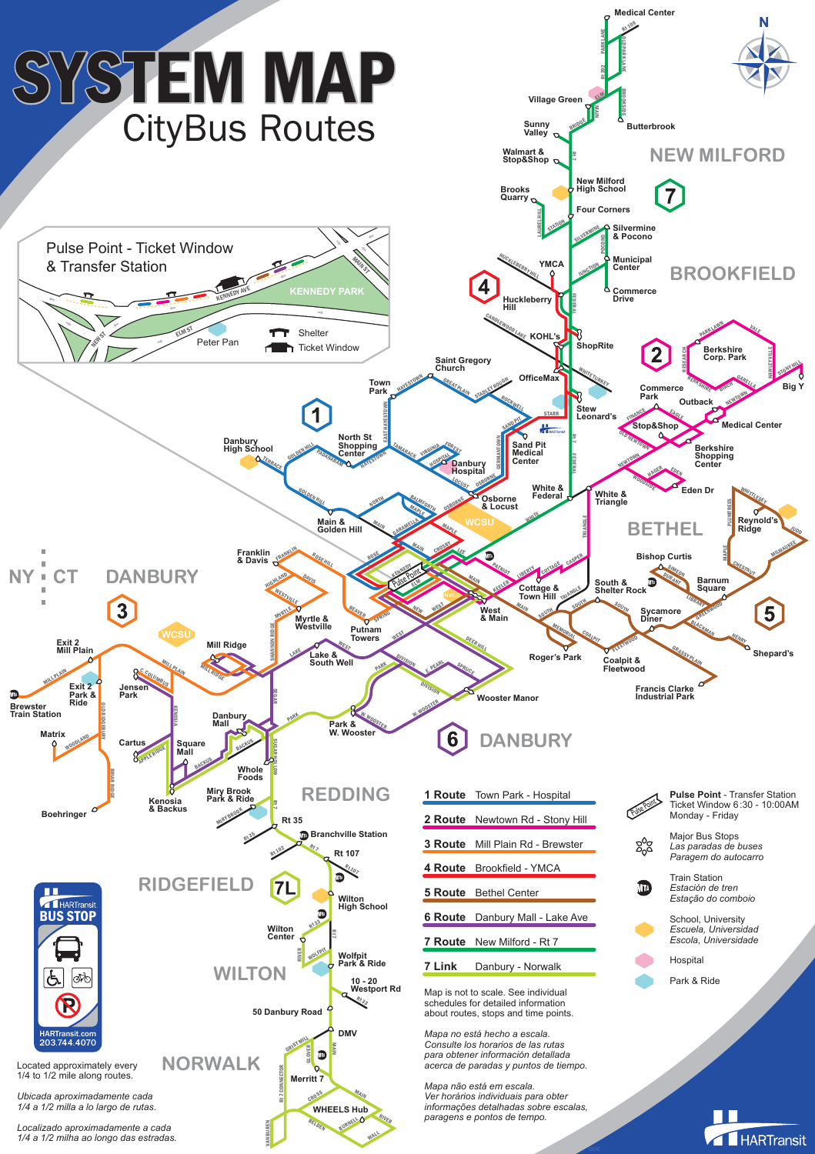